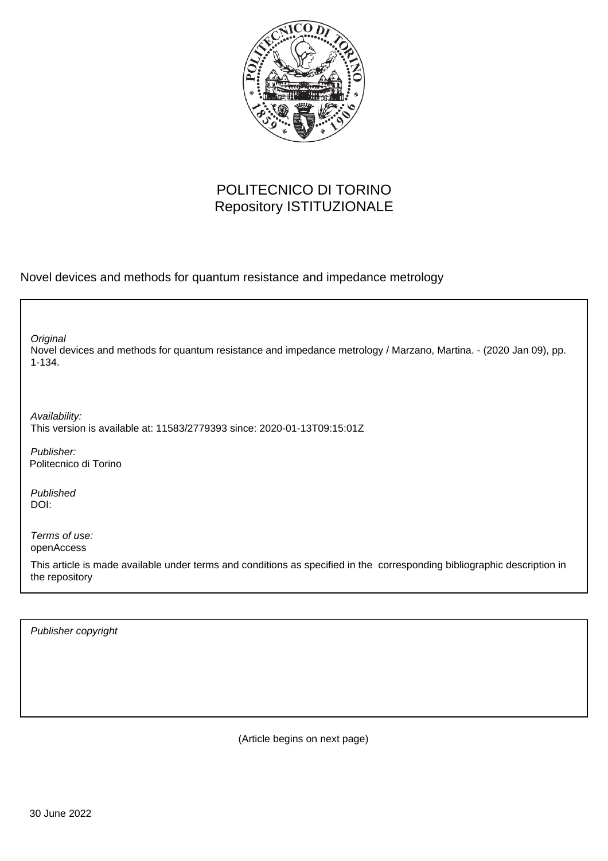

## POLITECNICO DI TORINO Repository ISTITUZIONALE

Novel devices and methods for quantum resistance and impedance metrology

Novel devices and methods for quantum resistance and impedance metrology / Marzano, Martina. - (2020 Jan 09), pp. 1-134. **Original** 

Availability: This version is available at: 11583/2779393 since: 2020-01-13T09:15:01Z

Publisher: Politecnico di Torino

Published DOI:

Terms of use: openAccess

This article is made available under terms and conditions as specified in the corresponding bibliographic description in the repository

Publisher copyright

(Article begins on next page)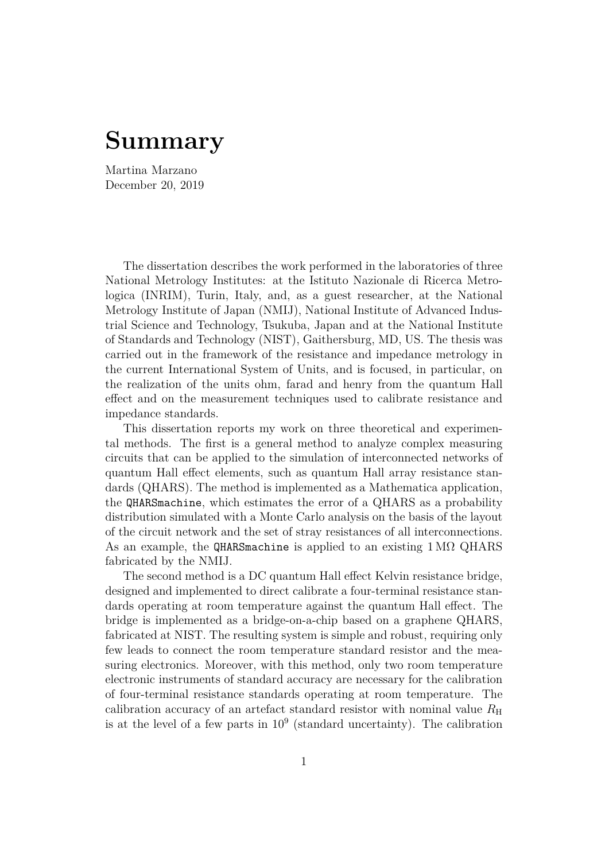## **Summary**

Martina Marzano December 20, 2019

The dissertation describes the work performed in the laboratories of three National Metrology Institutes: at the Istituto Nazionale di Ricerca Metrologica (INRIM), Turin, Italy, and, as a guest researcher, at the National Metrology Institute of Japan (NMIJ), National Institute of Advanced Industrial Science and Technology, Tsukuba, Japan and at the National Institute of Standards and Technology (NIST), Gaithersburg, MD, US. The thesis was carried out in the framework of the resistance and impedance metrology in the current International System of Units, and is focused, in particular, on the realization of the units ohm, farad and henry from the quantum Hall effect and on the measurement techniques used to calibrate resistance and impedance standards.

This dissertation reports my work on three theoretical and experimental methods. The first is a general method to analyze complex measuring circuits that can be applied to the simulation of interconnected networks of quantum Hall effect elements, such as quantum Hall array resistance standards (QHARS). The method is implemented as a Mathematica application, the QHARSmachine, which estimates the error of a QHARS as a probability distribution simulated with a Monte Carlo analysis on the basis of the layout of the circuit network and the set of stray resistances of all interconnections. As an example, the QHARSmachine is applied to an existing  $1 \text{ M}\Omega$  QHARS fabricated by the NMIJ.

The second method is a DC quantum Hall effect Kelvin resistance bridge, designed and implemented to direct calibrate a four-terminal resistance standards operating at room temperature against the quantum Hall effect. The bridge is implemented as a bridge-on-a-chip based on a graphene QHARS, fabricated at NIST. The resulting system is simple and robust, requiring only few leads to connect the room temperature standard resistor and the measuring electronics. Moreover, with this method, only two room temperature electronic instruments of standard accuracy are necessary for the calibration of four-terminal resistance standards operating at room temperature. The calibration accuracy of an artefact standard resistor with nominal value  $R_{\rm H}$ is at the level of a few parts in  $10^9$  (standard uncertainty). The calibration